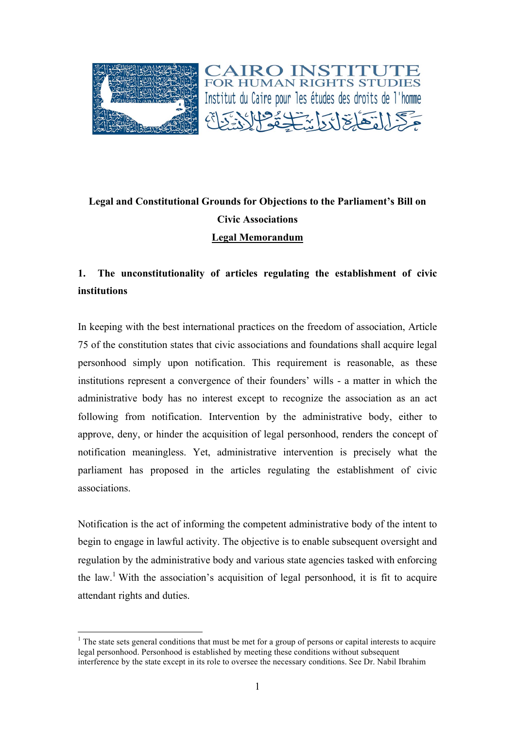

# **Legal and Constitutional Grounds for Objections to the Parliament's Bill on Civic Associations Legal Memorandum**

## **1. The unconstitutionality of articles regulating the establishment of civic institutions**

In keeping with the best international practices on the freedom of association, Article 75 of the constitution states that civic associations and foundations shall acquire legal personhood simply upon notification. This requirement is reasonable, as these institutions represent a convergence of their founders' wills - a matter in which the administrative body has no interest except to recognize the association as an act following from notification. Intervention by the administrative body, either to approve, deny, or hinder the acquisition of legal personhood, renders the concept of notification meaningless. Yet, administrative intervention is precisely what the parliament has proposed in the articles regulating the establishment of civic associations.

Notification is the act of informing the competent administrative body of the intent to begin to engage in lawful activity. The objective is to enable subsequent oversight and regulation by the administrative body and various state agencies tasked with enforcing the law.<sup>1</sup> With the association's acquisition of legal personhood, it is fit to acquire attendant rights and duties.

 $<sup>1</sup>$  The state sets general conditions that must be met for a group of persons or capital interests to acquire</sup> legal personhood. Personhood is established by meeting these conditions without subsequent interference by the state except in its role to oversee the necessary conditions. See Dr. Nabil Ibrahim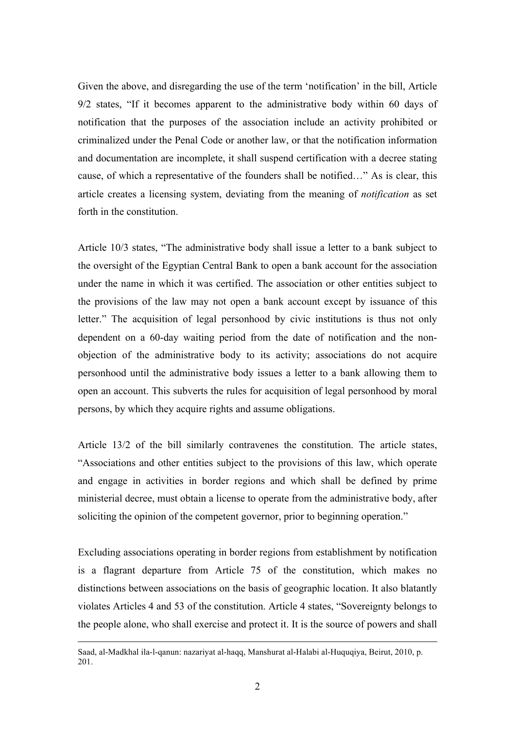Given the above, and disregarding the use of the term 'notification' in the bill, Article 9/2 states, "If it becomes apparent to the administrative body within 60 days of notification that the purposes of the association include an activity prohibited or criminalized under the Penal Code or another law, or that the notification information and documentation are incomplete, it shall suspend certification with a decree stating cause, of which a representative of the founders shall be notified…" As is clear, this article creates a licensing system, deviating from the meaning of *notification* as set forth in the constitution.

Article 10/3 states, "The administrative body shall issue a letter to a bank subject to the oversight of the Egyptian Central Bank to open a bank account for the association under the name in which it was certified. The association or other entities subject to the provisions of the law may not open a bank account except by issuance of this letter." The acquisition of legal personhood by civic institutions is thus not only dependent on a 60-day waiting period from the date of notification and the nonobjection of the administrative body to its activity; associations do not acquire personhood until the administrative body issues a letter to a bank allowing them to open an account. This subverts the rules for acquisition of legal personhood by moral persons, by which they acquire rights and assume obligations.

Article 13/2 of the bill similarly contravenes the constitution. The article states, "Associations and other entities subject to the provisions of this law, which operate and engage in activities in border regions and which shall be defined by prime ministerial decree, must obtain a license to operate from the administrative body, after soliciting the opinion of the competent governor, prior to beginning operation."

Excluding associations operating in border regions from establishment by notification is a flagrant departure from Article 75 of the constitution, which makes no distinctions between associations on the basis of geographic location. It also blatantly violates Articles 4 and 53 of the constitution. Article 4 states, "Sovereignty belongs to the people alone, who shall exercise and protect it. It is the source of powers and shall

 $\overline{a}$ 

Saad, al-Madkhal ila-l-qanun: nazariyat al-haqq, Manshurat al-Halabi al-Huquqiya, Beirut, 2010, p. 201.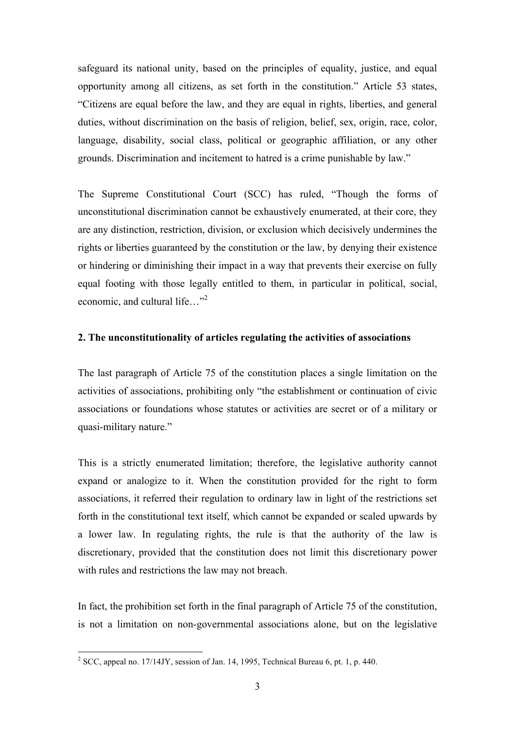safeguard its national unity, based on the principles of equality, justice, and equal opportunity among all citizens, as set forth in the constitution." Article 53 states, "Citizens are equal before the law, and they are equal in rights, liberties, and general duties, without discrimination on the basis of religion, belief, sex, origin, race, color, language, disability, social class, political or geographic affiliation, or any other grounds. Discrimination and incitement to hatred is a crime punishable by law."

The Supreme Constitutional Court (SCC) has ruled, "Though the forms of unconstitutional discrimination cannot be exhaustively enumerated, at their core, they are any distinction, restriction, division, or exclusion which decisively undermines the rights or liberties guaranteed by the constitution or the law, by denying their existence or hindering or diminishing their impact in a way that prevents their exercise on fully equal footing with those legally entitled to them, in particular in political, social, economic, and cultural life…"2

## **2. The unconstitutionality of articles regulating the activities of associations**

The last paragraph of Article 75 of the constitution places a single limitation on the activities of associations, prohibiting only "the establishment or continuation of civic associations or foundations whose statutes or activities are secret or of a military or quasi-military nature."

This is a strictly enumerated limitation; therefore, the legislative authority cannot expand or analogize to it. When the constitution provided for the right to form associations, it referred their regulation to ordinary law in light of the restrictions set forth in the constitutional text itself, which cannot be expanded or scaled upwards by a lower law. In regulating rights, the rule is that the authority of the law is discretionary, provided that the constitution does not limit this discretionary power with rules and restrictions the law may not breach.

In fact, the prohibition set forth in the final paragraph of Article 75 of the constitution, is not a limitation on non-governmental associations alone, but on the legislative

 $2^{2}$  SCC, appeal no. 17/14JY, session of Jan. 14, 1995, Technical Bureau 6, pt. 1, p. 440.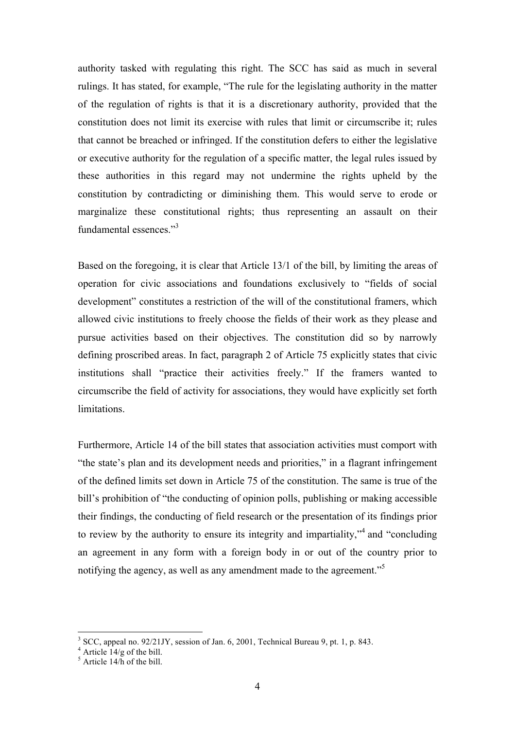authority tasked with regulating this right. The SCC has said as much in several rulings. It has stated, for example, "The rule for the legislating authority in the matter of the regulation of rights is that it is a discretionary authority, provided that the constitution does not limit its exercise with rules that limit or circumscribe it; rules that cannot be breached or infringed. If the constitution defers to either the legislative or executive authority for the regulation of a specific matter, the legal rules issued by these authorities in this regard may not undermine the rights upheld by the constitution by contradicting or diminishing them. This would serve to erode or marginalize these constitutional rights; thus representing an assault on their fundamental essences."3

Based on the foregoing, it is clear that Article 13/1 of the bill, by limiting the areas of operation for civic associations and foundations exclusively to "fields of social development" constitutes a restriction of the will of the constitutional framers, which allowed civic institutions to freely choose the fields of their work as they please and pursue activities based on their objectives. The constitution did so by narrowly defining proscribed areas. In fact, paragraph 2 of Article 75 explicitly states that civic institutions shall "practice their activities freely." If the framers wanted to circumscribe the field of activity for associations, they would have explicitly set forth limitations.

Furthermore, Article 14 of the bill states that association activities must comport with "the state's plan and its development needs and priorities," in a flagrant infringement of the defined limits set down in Article 75 of the constitution. The same is true of the bill's prohibition of "the conducting of opinion polls, publishing or making accessible their findings, the conducting of field research or the presentation of its findings prior to review by the authority to ensure its integrity and impartiality,"<sup>4</sup> and "concluding an agreement in any form with a foreign body in or out of the country prior to notifying the agency, as well as any amendment made to the agreement."<sup>5</sup>

 $3$  SCC, appeal no. 92/21JY, session of Jan. 6, 2001. Technical Bureau 9, pt. 1, p. 843.

 $4$  Article 14/g of the bill.

 $<sup>5</sup>$  Article 14/h of the bill.</sup>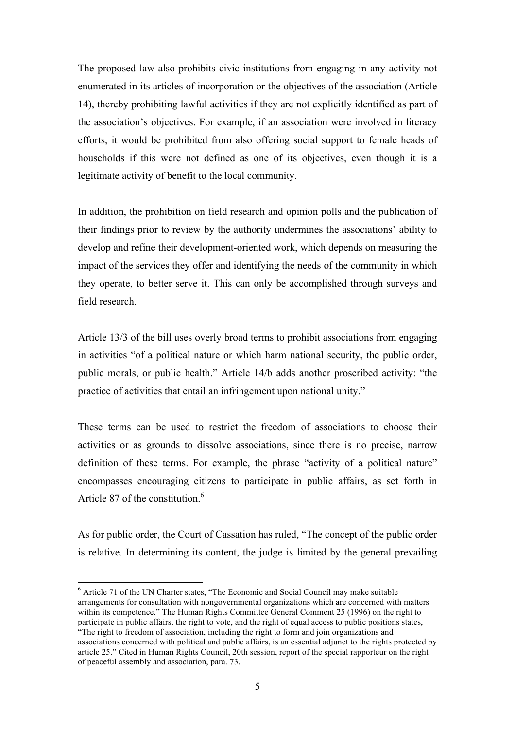The proposed law also prohibits civic institutions from engaging in any activity not enumerated in its articles of incorporation or the objectives of the association (Article 14), thereby prohibiting lawful activities if they are not explicitly identified as part of the association's objectives. For example, if an association were involved in literacy efforts, it would be prohibited from also offering social support to female heads of households if this were not defined as one of its objectives, even though it is a legitimate activity of benefit to the local community.

In addition, the prohibition on field research and opinion polls and the publication of their findings prior to review by the authority undermines the associations' ability to develop and refine their development-oriented work, which depends on measuring the impact of the services they offer and identifying the needs of the community in which they operate, to better serve it. This can only be accomplished through surveys and field research.

Article 13/3 of the bill uses overly broad terms to prohibit associations from engaging in activities "of a political nature or which harm national security, the public order, public morals, or public health." Article 14/b adds another proscribed activity: "the practice of activities that entail an infringement upon national unity."

These terms can be used to restrict the freedom of associations to choose their activities or as grounds to dissolve associations, since there is no precise, narrow definition of these terms. For example, the phrase "activity of a political nature" encompasses encouraging citizens to participate in public affairs, as set forth in Article 87 of the constitution  $<sup>6</sup>$ </sup>

As for public order, the Court of Cassation has ruled, "The concept of the public order is relative. In determining its content, the judge is limited by the general prevailing

 <sup>6</sup> Article 71 of the UN Charter states, "The Economic and Social Council may make suitable arrangements for consultation with nongovernmental organizations which are concerned with matters within its competence." The Human Rights Committee General Comment 25 (1996) on the right to participate in public affairs, the right to vote, and the right of equal access to public positions states,

<sup>&</sup>quot;The right to freedom of association, including the right to form and join organizations and associations concerned with political and public affairs, is an essential adjunct to the rights protected by article 25." Cited in Human Rights Council, 20th session, report of the special rapporteur on the right of peaceful assembly and association, para. 73.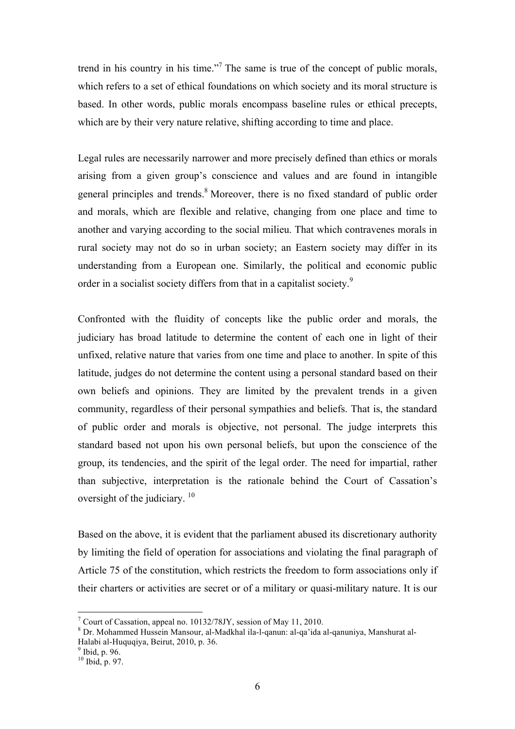trend in his country in his time."<sup>7</sup> The same is true of the concept of public morals, which refers to a set of ethical foundations on which society and its moral structure is based. In other words, public morals encompass baseline rules or ethical precepts, which are by their very nature relative, shifting according to time and place.

Legal rules are necessarily narrower and more precisely defined than ethics or morals arising from a given group's conscience and values and are found in intangible general principles and trends.<sup>8</sup> Moreover, there is no fixed standard of public order and morals, which are flexible and relative, changing from one place and time to another and varying according to the social milieu. That which contravenes morals in rural society may not do so in urban society; an Eastern society may differ in its understanding from a European one. Similarly, the political and economic public order in a socialist society differs from that in a capitalist society.<sup>9</sup>

Confronted with the fluidity of concepts like the public order and morals, the judiciary has broad latitude to determine the content of each one in light of their unfixed, relative nature that varies from one time and place to another. In spite of this latitude, judges do not determine the content using a personal standard based on their own beliefs and opinions. They are limited by the prevalent trends in a given community, regardless of their personal sympathies and beliefs. That is, the standard of public order and morals is objective, not personal. The judge interprets this standard based not upon his own personal beliefs, but upon the conscience of the group, its tendencies, and the spirit of the legal order. The need for impartial, rather than subjective, interpretation is the rationale behind the Court of Cassation's oversight of the judiciary.<sup>10</sup>

Based on the above, it is evident that the parliament abused its discretionary authority by limiting the field of operation for associations and violating the final paragraph of Article 75 of the constitution, which restricts the freedom to form associations only if their charters or activities are secret or of a military or quasi-military nature. It is our

 $7$  Court of Cassation, appeal no. 10132/78JY, session of May 11, 2010.

<sup>8</sup> Dr. Mohammed Hussein Mansour, al-Madkhal ila-l-qanun: al-qa'ida al-qanuniya, Manshurat al-Halabi al-Huquqiya, Beirut, 2010, p. 36.<br><sup>9</sup> Ibid, p. 96.

<sup>10</sup> Ibid, p. 97.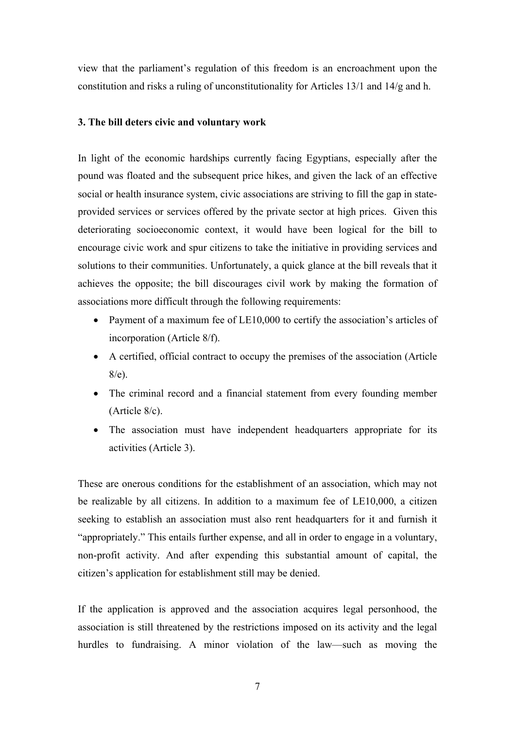view that the parliament's regulation of this freedom is an encroachment upon the constitution and risks a ruling of unconstitutionality for Articles 13/1 and 14/g and h.

## **3. The bill deters civic and voluntary work**

In light of the economic hardships currently facing Egyptians, especially after the pound was floated and the subsequent price hikes, and given the lack of an effective social or health insurance system, civic associations are striving to fill the gap in stateprovided services or services offered by the private sector at high prices. Given this deteriorating socioeconomic context, it would have been logical for the bill to encourage civic work and spur citizens to take the initiative in providing services and solutions to their communities. Unfortunately, a quick glance at the bill reveals that it achieves the opposite; the bill discourages civil work by making the formation of associations more difficult through the following requirements:

- Payment of a maximum fee of LE10,000 to certify the association's articles of incorporation (Article 8/f).
- A certified, official contract to occupy the premises of the association (Article 8/e).
- The criminal record and a financial statement from every founding member (Article 8/c).
- The association must have independent headquarters appropriate for its activities (Article 3).

These are onerous conditions for the establishment of an association, which may not be realizable by all citizens. In addition to a maximum fee of LE10,000, a citizen seeking to establish an association must also rent headquarters for it and furnish it "appropriately." This entails further expense, and all in order to engage in a voluntary, non-profit activity. And after expending this substantial amount of capital, the citizen's application for establishment still may be denied.

If the application is approved and the association acquires legal personhood, the association is still threatened by the restrictions imposed on its activity and the legal hurdles to fundraising. A minor violation of the law—such as moving the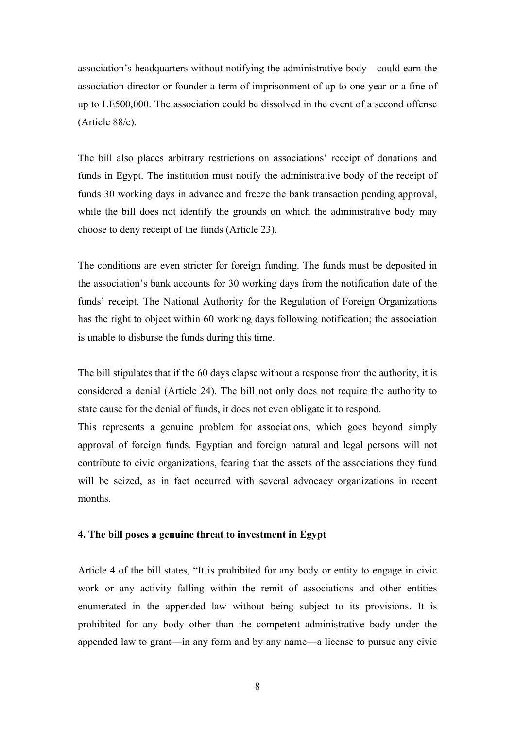association's headquarters without notifying the administrative body—could earn the association director or founder a term of imprisonment of up to one year or a fine of up to LE500,000. The association could be dissolved in the event of a second offense (Article 88/c).

The bill also places arbitrary restrictions on associations' receipt of donations and funds in Egypt. The institution must notify the administrative body of the receipt of funds 30 working days in advance and freeze the bank transaction pending approval, while the bill does not identify the grounds on which the administrative body may choose to deny receipt of the funds (Article 23).

The conditions are even stricter for foreign funding. The funds must be deposited in the association's bank accounts for 30 working days from the notification date of the funds' receipt. The National Authority for the Regulation of Foreign Organizations has the right to object within 60 working days following notification; the association is unable to disburse the funds during this time.

The bill stipulates that if the 60 days elapse without a response from the authority, it is considered a denial (Article 24). The bill not only does not require the authority to state cause for the denial of funds, it does not even obligate it to respond.

This represents a genuine problem for associations, which goes beyond simply approval of foreign funds. Egyptian and foreign natural and legal persons will not contribute to civic organizations, fearing that the assets of the associations they fund will be seized, as in fact occurred with several advocacy organizations in recent months.

## **4. The bill poses a genuine threat to investment in Egypt**

Article 4 of the bill states, "It is prohibited for any body or entity to engage in civic work or any activity falling within the remit of associations and other entities enumerated in the appended law without being subject to its provisions. It is prohibited for any body other than the competent administrative body under the appended law to grant—in any form and by any name—a license to pursue any civic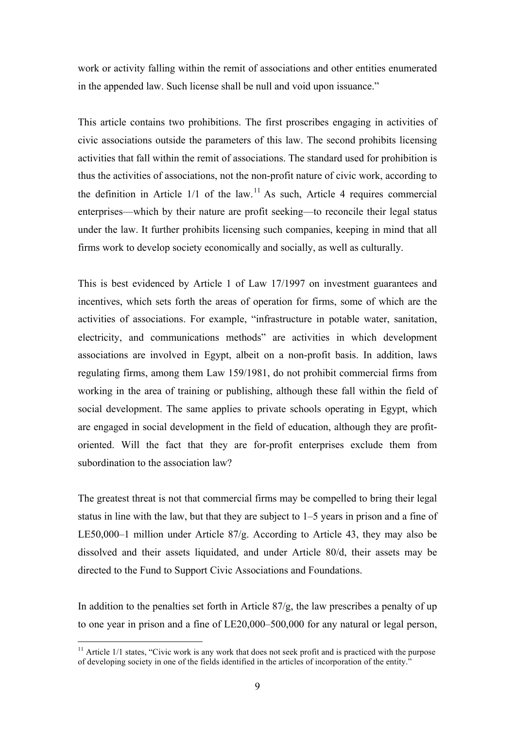work or activity falling within the remit of associations and other entities enumerated in the appended law. Such license shall be null and void upon issuance."

This article contains two prohibitions. The first proscribes engaging in activities of civic associations outside the parameters of this law. The second prohibits licensing activities that fall within the remit of associations. The standard used for prohibition is thus the activities of associations, not the non-profit nature of civic work, according to the definition in Article  $1/1$  of the law.<sup>11</sup> As such, Article 4 requires commercial enterprises—which by their nature are profit seeking—to reconcile their legal status under the law. It further prohibits licensing such companies, keeping in mind that all firms work to develop society economically and socially, as well as culturally.

This is best evidenced by Article 1 of Law 17/1997 on investment guarantees and incentives, which sets forth the areas of operation for firms, some of which are the activities of associations. For example, "infrastructure in potable water, sanitation, electricity, and communications methods" are activities in which development associations are involved in Egypt, albeit on a non-profit basis. In addition, laws regulating firms, among them Law 159/1981, do not prohibit commercial firms from working in the area of training or publishing, although these fall within the field of social development. The same applies to private schools operating in Egypt, which are engaged in social development in the field of education, although they are profitoriented. Will the fact that they are for-profit enterprises exclude them from subordination to the association law?

The greatest threat is not that commercial firms may be compelled to bring their legal status in line with the law, but that they are subject to 1–5 years in prison and a fine of LE50,000–1 million under Article 87/g. According to Article 43, they may also be dissolved and their assets liquidated, and under Article 80/d, their assets may be directed to the Fund to Support Civic Associations and Foundations.

In addition to the penalties set forth in Article  $\frac{87}{g}$ , the law prescribes a penalty of up to one year in prison and a fine of LE20,000–500,000 for any natural or legal person,

 $11$  Article 1/1 states, "Civic work is any work that does not seek profit and is practiced with the purpose of developing society in one of the fields identified in the articles of incorporation of the entity."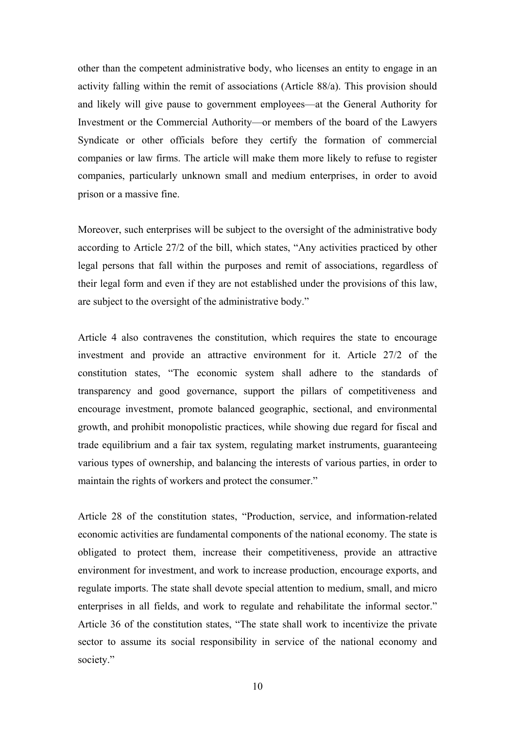other than the competent administrative body, who licenses an entity to engage in an activity falling within the remit of associations (Article 88/a). This provision should and likely will give pause to government employees—at the General Authority for Investment or the Commercial Authority—or members of the board of the Lawyers Syndicate or other officials before they certify the formation of commercial companies or law firms. The article will make them more likely to refuse to register companies, particularly unknown small and medium enterprises, in order to avoid prison or a massive fine.

Moreover, such enterprises will be subject to the oversight of the administrative body according to Article 27/2 of the bill, which states, "Any activities practiced by other legal persons that fall within the purposes and remit of associations, regardless of their legal form and even if they are not established under the provisions of this law, are subject to the oversight of the administrative body."

Article 4 also contravenes the constitution, which requires the state to encourage investment and provide an attractive environment for it. Article 27/2 of the constitution states, "The economic system shall adhere to the standards of transparency and good governance, support the pillars of competitiveness and encourage investment, promote balanced geographic, sectional, and environmental growth, and prohibit monopolistic practices, while showing due regard for fiscal and trade equilibrium and a fair tax system, regulating market instruments, guaranteeing various types of ownership, and balancing the interests of various parties, in order to maintain the rights of workers and protect the consumer."

Article 28 of the constitution states, "Production, service, and information-related economic activities are fundamental components of the national economy. The state is obligated to protect them, increase their competitiveness, provide an attractive environment for investment, and work to increase production, encourage exports, and regulate imports. The state shall devote special attention to medium, small, and micro enterprises in all fields, and work to regulate and rehabilitate the informal sector." Article 36 of the constitution states, "The state shall work to incentivize the private sector to assume its social responsibility in service of the national economy and society."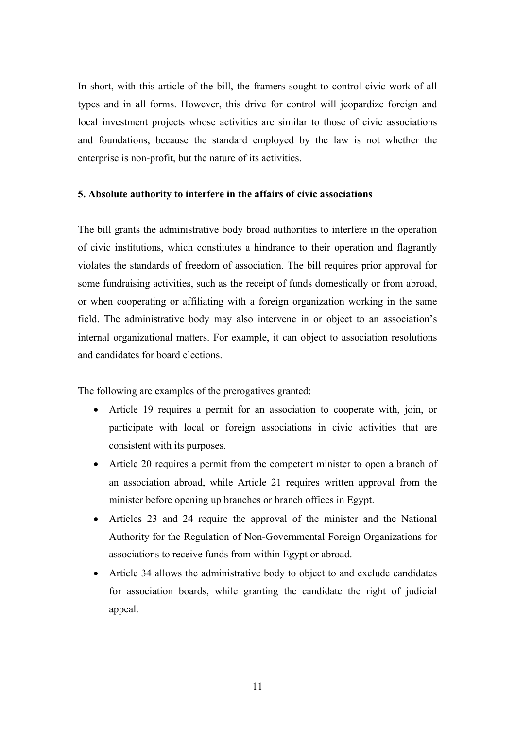In short, with this article of the bill, the framers sought to control civic work of all types and in all forms. However, this drive for control will jeopardize foreign and local investment projects whose activities are similar to those of civic associations and foundations, because the standard employed by the law is not whether the enterprise is non-profit, but the nature of its activities.

## **5. Absolute authority to interfere in the affairs of civic associations**

The bill grants the administrative body broad authorities to interfere in the operation of civic institutions, which constitutes a hindrance to their operation and flagrantly violates the standards of freedom of association. The bill requires prior approval for some fundraising activities, such as the receipt of funds domestically or from abroad, or when cooperating or affiliating with a foreign organization working in the same field. The administrative body may also intervene in or object to an association's internal organizational matters. For example, it can object to association resolutions and candidates for board elections.

The following are examples of the prerogatives granted:

- Article 19 requires a permit for an association to cooperate with, join, or participate with local or foreign associations in civic activities that are consistent with its purposes.
- Article 20 requires a permit from the competent minister to open a branch of an association abroad, while Article 21 requires written approval from the minister before opening up branches or branch offices in Egypt.
- Articles 23 and 24 require the approval of the minister and the National Authority for the Regulation of Non-Governmental Foreign Organizations for associations to receive funds from within Egypt or abroad.
- Article 34 allows the administrative body to object to and exclude candidates for association boards, while granting the candidate the right of judicial appeal.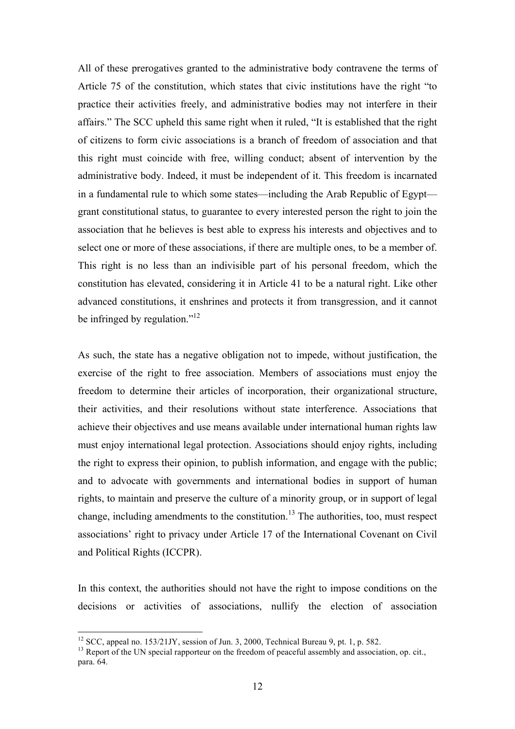All of these prerogatives granted to the administrative body contravene the terms of Article 75 of the constitution, which states that civic institutions have the right "to practice their activities freely, and administrative bodies may not interfere in their affairs." The SCC upheld this same right when it ruled, "It is established that the right of citizens to form civic associations is a branch of freedom of association and that this right must coincide with free, willing conduct; absent of intervention by the administrative body. Indeed, it must be independent of it. This freedom is incarnated in a fundamental rule to which some states—including the Arab Republic of Egypt grant constitutional status, to guarantee to every interested person the right to join the association that he believes is best able to express his interests and objectives and to select one or more of these associations, if there are multiple ones, to be a member of. This right is no less than an indivisible part of his personal freedom, which the constitution has elevated, considering it in Article 41 to be a natural right. Like other advanced constitutions, it enshrines and protects it from transgression, and it cannot be infringed by regulation." $12$ 

As such, the state has a negative obligation not to impede, without justification, the exercise of the right to free association. Members of associations must enjoy the freedom to determine their articles of incorporation, their organizational structure, their activities, and their resolutions without state interference. Associations that achieve their objectives and use means available under international human rights law must enjoy international legal protection. Associations should enjoy rights, including the right to express their opinion, to publish information, and engage with the public; and to advocate with governments and international bodies in support of human rights, to maintain and preserve the culture of a minority group, or in support of legal change, including amendments to the constitution.<sup>13</sup> The authorities, too, must respect associations' right to privacy under Article 17 of the International Covenant on Civil and Political Rights (ICCPR).

In this context, the authorities should not have the right to impose conditions on the decisions or activities of associations, nullify the election of association

<sup>&</sup>lt;sup>12</sup> SCC, appeal no. 153/21JY, session of Jun. 3, 2000, Technical Bureau 9, pt. 1, p. 582.<br><sup>13</sup> Report of the UN special rapporteur on the freedom of peaceful assembly and association, op. cit., para. 64.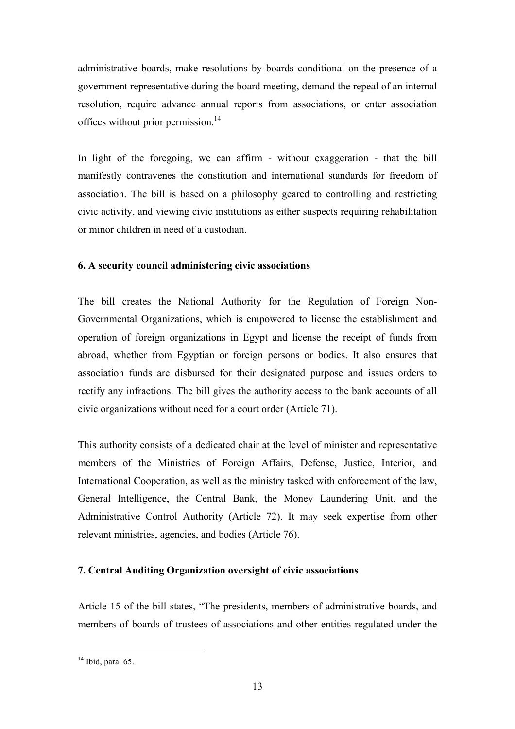administrative boards, make resolutions by boards conditional on the presence of a government representative during the board meeting, demand the repeal of an internal resolution, require advance annual reports from associations, or enter association offices without prior permission.<sup>14</sup>

In light of the foregoing, we can affirm - without exaggeration - that the bill manifestly contravenes the constitution and international standards for freedom of association. The bill is based on a philosophy geared to controlling and restricting civic activity, and viewing civic institutions as either suspects requiring rehabilitation or minor children in need of a custodian.

## **6. A security council administering civic associations**

The bill creates the National Authority for the Regulation of Foreign Non-Governmental Organizations, which is empowered to license the establishment and operation of foreign organizations in Egypt and license the receipt of funds from abroad, whether from Egyptian or foreign persons or bodies. It also ensures that association funds are disbursed for their designated purpose and issues orders to rectify any infractions. The bill gives the authority access to the bank accounts of all civic organizations without need for a court order (Article 71).

This authority consists of a dedicated chair at the level of minister and representative members of the Ministries of Foreign Affairs, Defense, Justice, Interior, and International Cooperation, as well as the ministry tasked with enforcement of the law, General Intelligence, the Central Bank, the Money Laundering Unit, and the Administrative Control Authority (Article 72). It may seek expertise from other relevant ministries, agencies, and bodies (Article 76).

## **7. Central Auditing Organization oversight of civic associations**

Article 15 of the bill states, "The presidents, members of administrative boards, and members of boards of trustees of associations and other entities regulated under the

 $14$  Ibid, para. 65.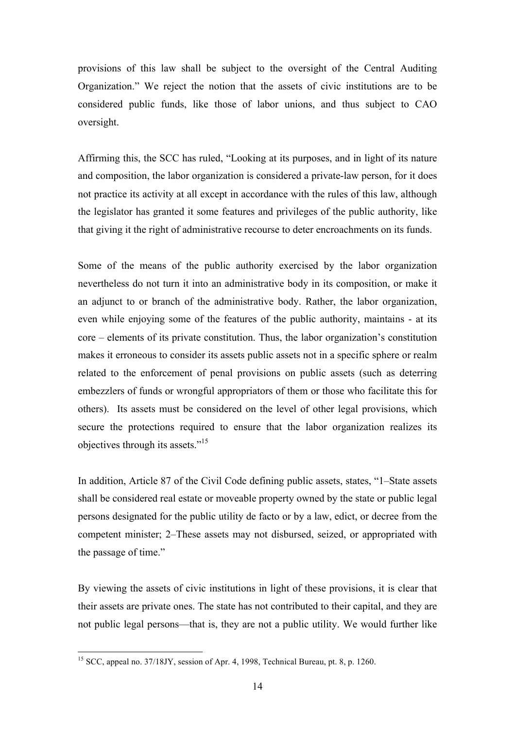provisions of this law shall be subject to the oversight of the Central Auditing Organization." We reject the notion that the assets of civic institutions are to be considered public funds, like those of labor unions, and thus subject to CAO oversight.

Affirming this, the SCC has ruled, "Looking at its purposes, and in light of its nature and composition, the labor organization is considered a private-law person, for it does not practice its activity at all except in accordance with the rules of this law, although the legislator has granted it some features and privileges of the public authority, like that giving it the right of administrative recourse to deter encroachments on its funds.

Some of the means of the public authority exercised by the labor organization nevertheless do not turn it into an administrative body in its composition, or make it an adjunct to or branch of the administrative body. Rather, the labor organization, even while enjoying some of the features of the public authority, maintains - at its core – elements of its private constitution. Thus, the labor organization's constitution makes it erroneous to consider its assets public assets not in a specific sphere or realm related to the enforcement of penal provisions on public assets (such as deterring embezzlers of funds or wrongful appropriators of them or those who facilitate this for others). Its assets must be considered on the level of other legal provisions, which secure the protections required to ensure that the labor organization realizes its objectives through its assets."15

In addition, Article 87 of the Civil Code defining public assets, states, "1–State assets shall be considered real estate or moveable property owned by the state or public legal persons designated for the public utility de facto or by a law, edict, or decree from the competent minister; 2–These assets may not disbursed, seized, or appropriated with the passage of time."

By viewing the assets of civic institutions in light of these provisions, it is clear that their assets are private ones. The state has not contributed to their capital, and they are not public legal persons—that is, they are not a public utility. We would further like

<sup>&</sup>lt;sup>15</sup> SCC, appeal no. 37/18JY, session of Apr. 4, 1998, Technical Bureau, pt. 8, p. 1260.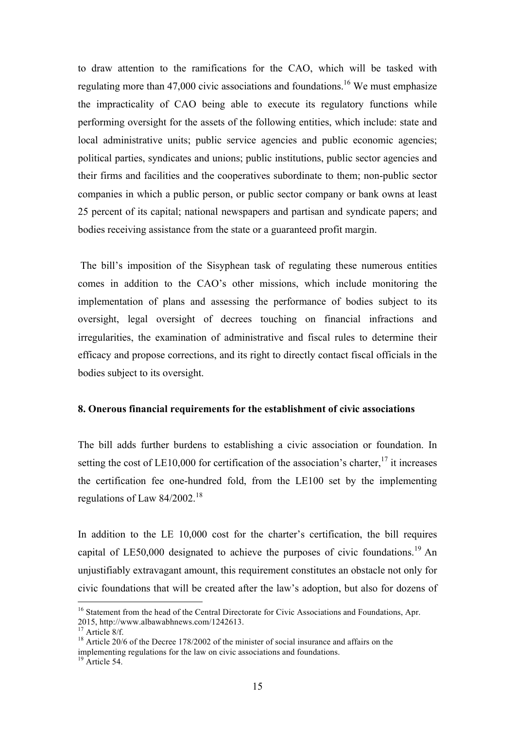to draw attention to the ramifications for the CAO, which will be tasked with regulating more than  $47,000$  civic associations and foundations.<sup>16</sup> We must emphasize the impracticality of CAO being able to execute its regulatory functions while performing oversight for the assets of the following entities, which include: state and local administrative units; public service agencies and public economic agencies; political parties, syndicates and unions; public institutions, public sector agencies and their firms and facilities and the cooperatives subordinate to them; non-public sector companies in which a public person, or public sector company or bank owns at least 25 percent of its capital; national newspapers and partisan and syndicate papers; and bodies receiving assistance from the state or a guaranteed profit margin.

The bill's imposition of the Sisyphean task of regulating these numerous entities comes in addition to the CAO's other missions, which include monitoring the implementation of plans and assessing the performance of bodies subject to its oversight, legal oversight of decrees touching on financial infractions and irregularities, the examination of administrative and fiscal rules to determine their efficacy and propose corrections, and its right to directly contact fiscal officials in the bodies subject to its oversight.

#### **8. Onerous financial requirements for the establishment of civic associations**

The bill adds further burdens to establishing a civic association or foundation. In setting the cost of LE10,000 for certification of the association's charter,  $^{17}$  it increases the certification fee one-hundred fold, from the LE100 set by the implementing regulations of Law  $84/2002$ .<sup>18</sup>

In addition to the LE 10,000 cost for the charter's certification, the bill requires capital of LE50,000 designated to achieve the purposes of civic foundations.<sup>19</sup> An unjustifiably extravagant amount, this requirement constitutes an obstacle not only for civic foundations that will be created after the law's adoption, but also for dozens of

<sup>&</sup>lt;sup>16</sup> Statement from the head of the Central Directorate for Civic Associations and Foundations, Apr. 2015, http://www.albawabhnews.com/1242613.<br><sup>17</sup> Article 8/f.<br><sup>18</sup> Article 20/6 of the Decree 178/2002 of the minister of social insurance and affairs on the

implementing regulations for the law on civic associations and foundations.

 $19$  Article 54.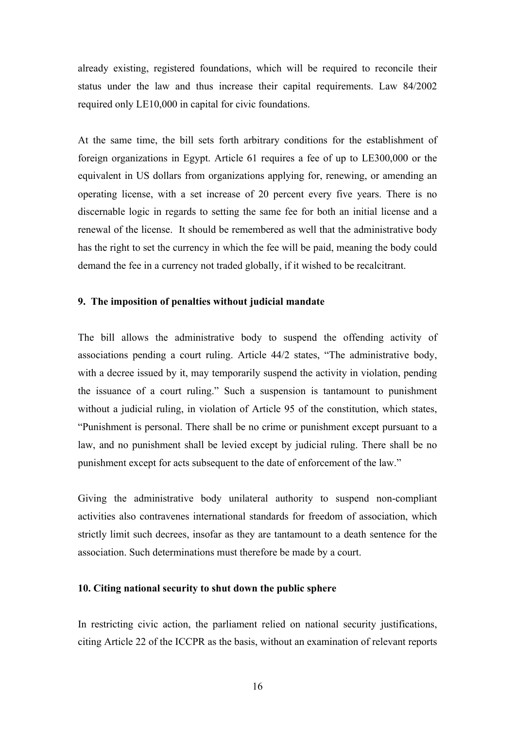already existing, registered foundations, which will be required to reconcile their status under the law and thus increase their capital requirements. Law 84/2002 required only LE10,000 in capital for civic foundations.

At the same time, the bill sets forth arbitrary conditions for the establishment of foreign organizations in Egypt. Article 61 requires a fee of up to LE300,000 or the equivalent in US dollars from organizations applying for, renewing, or amending an operating license, with a set increase of 20 percent every five years. There is no discernable logic in regards to setting the same fee for both an initial license and a renewal of the license. It should be remembered as well that the administrative body has the right to set the currency in which the fee will be paid, meaning the body could demand the fee in a currency not traded globally, if it wished to be recalcitrant.

### **9. The imposition of penalties without judicial mandate**

The bill allows the administrative body to suspend the offending activity of associations pending a court ruling. Article 44/2 states, "The administrative body, with a decree issued by it, may temporarily suspend the activity in violation, pending the issuance of a court ruling." Such a suspension is tantamount to punishment without a judicial ruling, in violation of Article 95 of the constitution, which states, "Punishment is personal. There shall be no crime or punishment except pursuant to a law, and no punishment shall be levied except by judicial ruling. There shall be no punishment except for acts subsequent to the date of enforcement of the law."

Giving the administrative body unilateral authority to suspend non-compliant activities also contravenes international standards for freedom of association, which strictly limit such decrees, insofar as they are tantamount to a death sentence for the association. Such determinations must therefore be made by a court.

## **10. Citing national security to shut down the public sphere**

In restricting civic action, the parliament relied on national security justifications, citing Article 22 of the ICCPR as the basis, without an examination of relevant reports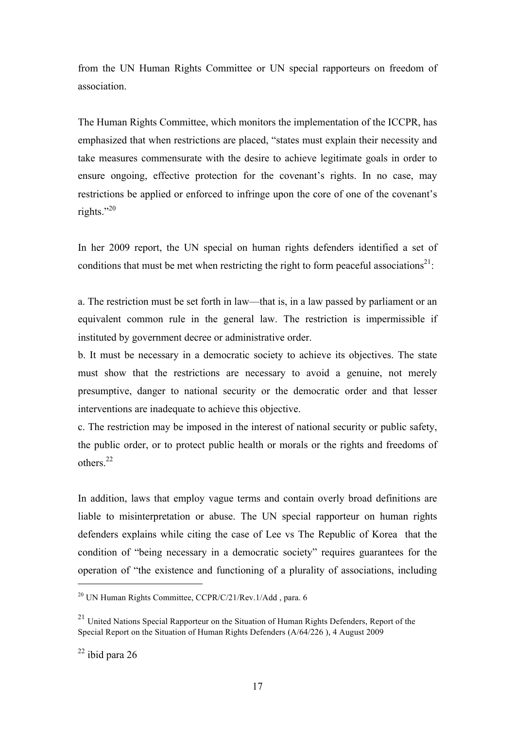from the UN Human Rights Committee or UN special rapporteurs on freedom of association.

The Human Rights Committee, which monitors the implementation of the ICCPR, has emphasized that when restrictions are placed, "states must explain their necessity and take measures commensurate with the desire to achieve legitimate goals in order to ensure ongoing, effective protection for the covenant's rights. In no case, may restrictions be applied or enforced to infringe upon the core of one of the covenant's rights."20

In her 2009 report, the UN special on human rights defenders identified a set of conditions that must be met when restricting the right to form peaceful associations<sup>21</sup>:

a. The restriction must be set forth in law—that is, in a law passed by parliament or an equivalent common rule in the general law. The restriction is impermissible if instituted by government decree or administrative order.

b. It must be necessary in a democratic society to achieve its objectives. The state must show that the restrictions are necessary to avoid a genuine, not merely presumptive, danger to national security or the democratic order and that lesser interventions are inadequate to achieve this objective.

c. The restriction may be imposed in the interest of national security or public safety, the public order, or to protect public health or morals or the rights and freedoms of others<sup>22</sup>

In addition, laws that employ vague terms and contain overly broad definitions are liable to misinterpretation or abuse. The UN special rapporteur on human rights defenders explains while citing the case of Lee vs The Republic of Korea that the condition of "being necessary in a democratic society" requires guarantees for the operation of "the existence and functioning of a plurality of associations, including

<sup>&</sup>lt;sup>20</sup> UN Human Rights Committee, CCPR/C/21/Rev.1/Add, para. 6

 $^{21}$  United Nations Special Rapporteur on the Situation of Human Rights Defenders, Report of the Special Report on the Situation of Human Rights Defenders (A/64/226 ), 4 August 2009

 $22$  ibid para 26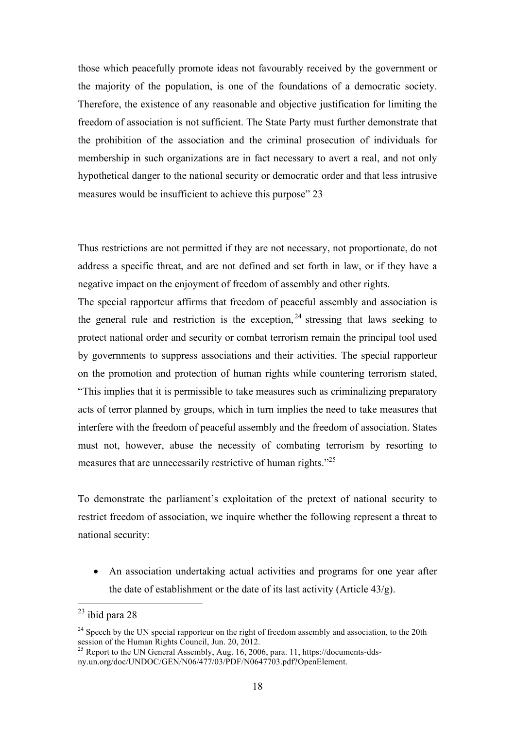those which peacefully promote ideas not favourably received by the government or the majority of the population, is one of the foundations of a democratic society. Therefore, the existence of any reasonable and objective justification for limiting the freedom of association is not sufficient. The State Party must further demonstrate that the prohibition of the association and the criminal prosecution of individuals for membership in such organizations are in fact necessary to avert a real, and not only hypothetical danger to the national security or democratic order and that less intrusive measures would be insufficient to achieve this purpose" 23

Thus restrictions are not permitted if they are not necessary, not proportionate, do not address a specific threat, and are not defined and set forth in law, or if they have a negative impact on the enjoyment of freedom of assembly and other rights.

The special rapporteur affirms that freedom of peaceful assembly and association is the general rule and restriction is the exception,  $24$  stressing that laws seeking to protect national order and security or combat terrorism remain the principal tool used by governments to suppress associations and their activities. The special rapporteur on the promotion and protection of human rights while countering terrorism stated, "This implies that it is permissible to take measures such as criminalizing preparatory acts of terror planned by groups, which in turn implies the need to take measures that interfere with the freedom of peaceful assembly and the freedom of association. States must not, however, abuse the necessity of combating terrorism by resorting to measures that are unnecessarily restrictive of human rights."<sup>25</sup>

To demonstrate the parliament's exploitation of the pretext of national security to restrict freedom of association, we inquire whether the following represent a threat to national security:

• An association undertaking actual activities and programs for one year after the date of establishment or the date of its last activity (Article 43/g).

 <sup>23</sup> ibid para 28

<sup>&</sup>lt;sup>24</sup> Speech by the UN special rapporteur on the right of freedom assembly and association, to the 20th session of the Human Rights Council, Jun. 20, 2012.

<sup>&</sup>lt;sup>25</sup> Report to the UN General Assembly, Aug. 16, 2006, para. 11, https://documents-ddsny.un.org/doc/UNDOC/GEN/N06/477/03/PDF/N0647703.pdf?OpenElement.